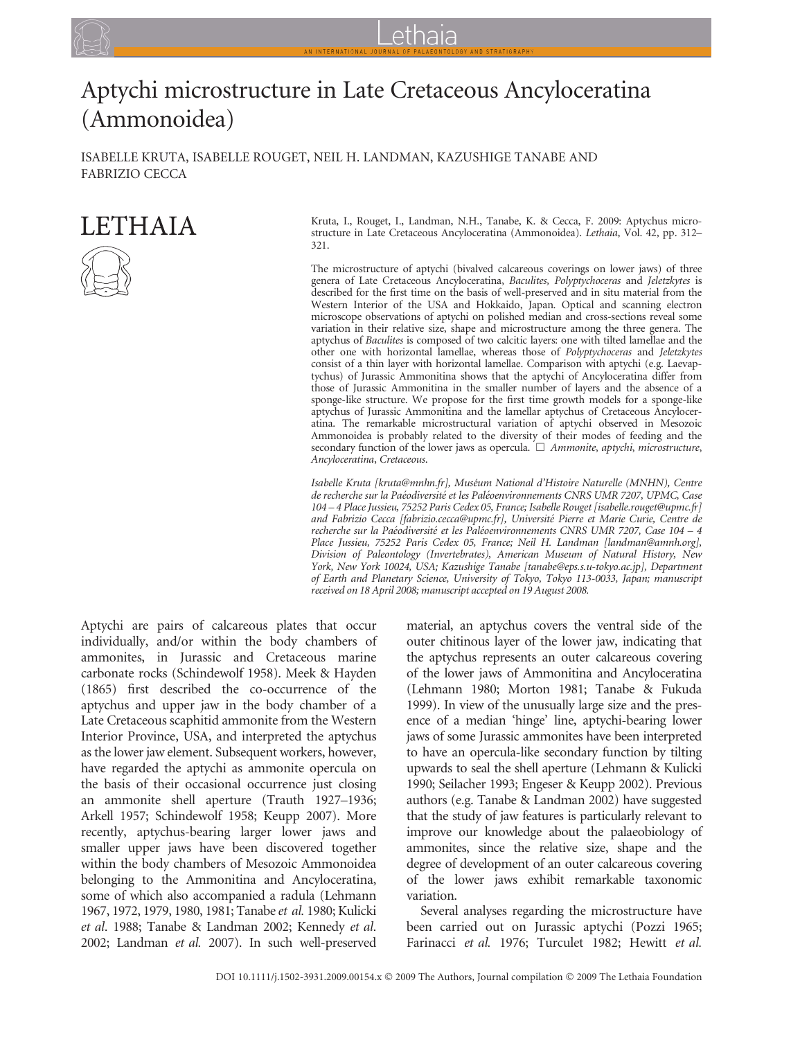# Aptychi microstructure in Late Cretaceous Ancyloceratina (Ammonoidea)

ISABELLE KRUTA, ISABELLE ROUGET, NEIL H. LANDMAN, KAZUSHIGE TANABE AND FABRIZIO CECCA

# **LETHAIA**



Kruta, I., Rouget, I., Landman, N.H., Tanabe, K. & Cecca, F. 2009: Aptychus microstructure in Late Cretaceous Ancyloceratina (Ammonoidea). Lethaia, Vol. 42, pp. 312– 321.

The microstructure of aptychi (bivalved calcareous coverings on lower jaws) of three genera of Late Cretaceous Ancyloceratina, Baculites, Polyptychoceras and Jeletzkytes is described for the first time on the basis of well-preserved and in situ material from the Western Interior of the USA and Hokkaido, Japan. Optical and scanning electron microscope observations of aptychi on polished median and cross-sections reveal some variation in their relative size, shape and microstructure among the three genera. The aptychus of Baculites is composed of two calcitic layers: one with tilted lamellae and the other one with horizontal lamellae, whereas those of Polyptychoceras and Jeletzkytes consist of a thin layer with horizontal lamellae. Comparison with aptychi (e.g. Laevaptychus) of Jurassic Ammonitina shows that the aptychi of Ancyloceratina differ from those of Jurassic Ammonitina in the smaller number of layers and the absence of a sponge-like structure. We propose for the first time growth models for a sponge-like aptychus of Jurassic Ammonitina and the lamellar aptychus of Cretaceous Ancyloceratina. The remarkable microstructural variation of aptychi observed in Mesozoic Ammonoidea is probably related to the diversity of their modes of feeding and the secondary function of the lower jaws as opercula.  $\Box$  Ammonite, aptychi, microstructure, Ancyloceratina, Cretaceous.

Isabelle Kruta [kruta@mnhn.fr], Muséum National d'Histoire Naturelle (MNHN), Centre de recherche sur la Paéodiversité et les Paléoenvironnements CNRS UMR 7207, UPMC, Case 104 – 4 Place Jussieu, 75252 Paris Cedex 05, France; Isabelle Rouget [isabelle.rouget@upmc.fr] and Fabrizio Cecca [fabrizio.cecca@upmc.fr], Université Pierre et Marie Curie, Centre de recherche sur la Paéodiversité et les Paléoenvironnements CNRS UMR 7207, Case 104 – 4 Place Jussieu, 75252 Paris Cedex 05, France; Neil H. Landman [landman@amnh.org], Division of Paleontology (Invertebrates), American Museum of Natural History, New York, New York 10024, USA; Kazushige Tanabe [tanabe@eps.s.u-tokyo.ac.jp], Department of Earth and Planetary Science, University of Tokyo, Tokyo 113-0033, Japan; manuscript received on 18 April 2008; manuscript accepted on 19 August 2008.

Aptychi are pairs of calcareous plates that occur individually, and/or within the body chambers of ammonites, in Jurassic and Cretaceous marine carbonate rocks (Schindewolf 1958). Meek & Hayden (1865) first described the co-occurrence of the aptychus and upper jaw in the body chamber of a Late Cretaceous scaphitid ammonite from the Western Interior Province, USA, and interpreted the aptychus as the lower jaw element. Subsequent workers, however, have regarded the aptychi as ammonite opercula on the basis of their occasional occurrence just closing an ammonite shell aperture (Trauth 1927–1936; Arkell 1957; Schindewolf 1958; Keupp 2007). More recently, aptychus-bearing larger lower jaws and smaller upper jaws have been discovered together within the body chambers of Mesozoic Ammonoidea belonging to the Ammonitina and Ancyloceratina, some of which also accompanied a radula (Lehmann 1967, 1972, 1979, 1980, 1981; Tanabe et al. 1980; Kulicki et al. 1988; Tanabe & Landman 2002; Kennedy et al. 2002; Landman et al. 2007). In such well-preserved

material, an aptychus covers the ventral side of the outer chitinous layer of the lower jaw, indicating that the aptychus represents an outer calcareous covering of the lower jaws of Ammonitina and Ancyloceratina (Lehmann 1980; Morton 1981; Tanabe & Fukuda 1999). In view of the unusually large size and the presence of a median 'hinge' line, aptychi-bearing lower jaws of some Jurassic ammonites have been interpreted to have an opercula-like secondary function by tilting upwards to seal the shell aperture (Lehmann & Kulicki 1990; Seilacher 1993; Engeser & Keupp 2002). Previous authors (e.g. Tanabe & Landman 2002) have suggested that the study of jaw features is particularly relevant to improve our knowledge about the palaeobiology of ammonites, since the relative size, shape and the degree of development of an outer calcareous covering of the lower jaws exhibit remarkable taxonomic variation.

Several analyses regarding the microstructure have been carried out on Jurassic aptychi (Pozzi 1965; Farinacci et al. 1976; Turculet 1982; Hewitt et al.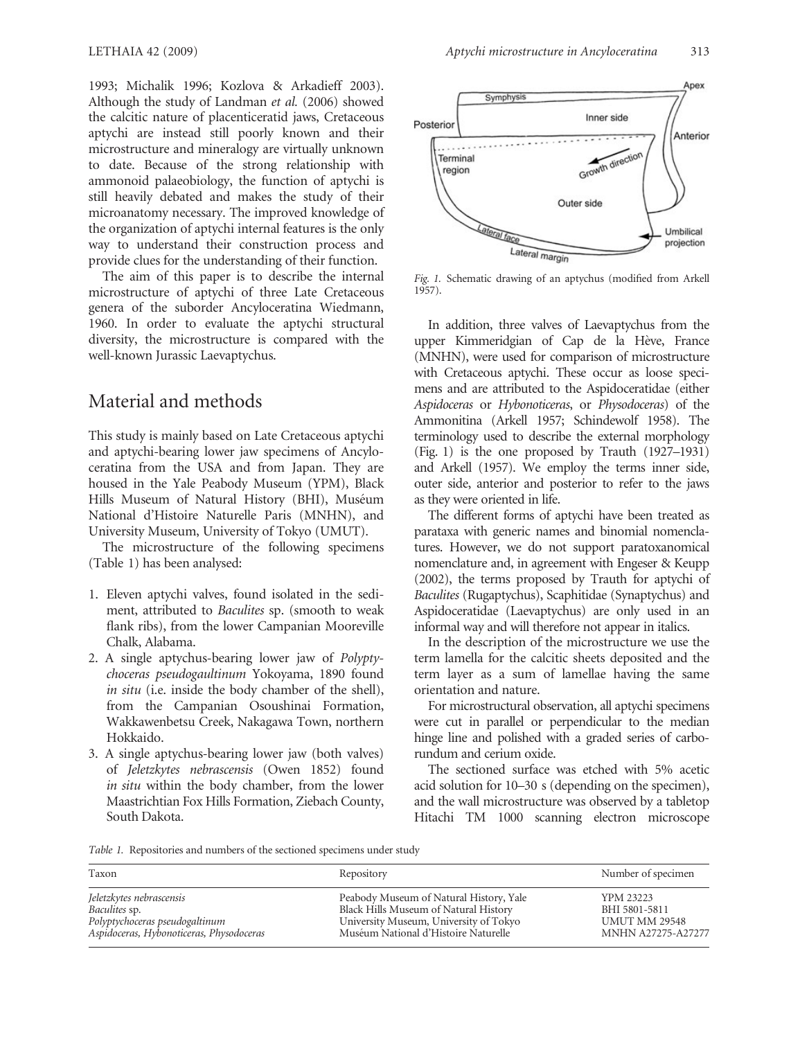1993; Michalik 1996; Kozlova & Arkadieff 2003). Although the study of Landman et al. (2006) showed the calcitic nature of placenticeratid jaws, Cretaceous aptychi are instead still poorly known and their microstructure and mineralogy are virtually unknown to date. Because of the strong relationship with ammonoid palaeobiology, the function of aptychi is still heavily debated and makes the study of their microanatomy necessary. The improved knowledge of the organization of aptychi internal features is the only way to understand their construction process and provide clues for the understanding of their function.

The aim of this paper is to describe the internal microstructure of aptychi of three Late Cretaceous genera of the suborder Ancyloceratina Wiedmann, 1960. In order to evaluate the aptychi structural diversity, the microstructure is compared with the well-known Jurassic Laevaptychus.

## Material and methods

This study is mainly based on Late Cretaceous aptychi and aptychi-bearing lower jaw specimens of Ancyloceratina from the USA and from Japan. They are housed in the Yale Peabody Museum (YPM), Black Hills Museum of Natural History (BHI), Muséum National d'Histoire Naturelle Paris (MNHN), and University Museum, University of Tokyo (UMUT).

The microstructure of the following specimens (Table 1) has been analysed:

- 1. Eleven aptychi valves, found isolated in the sediment, attributed to Baculites sp. (smooth to weak flank ribs), from the lower Campanian Mooreville Chalk, Alabama.
- 2. A single aptychus-bearing lower jaw of Polyptychoceras pseudogaultinum Yokoyama, 1890 found in situ (i.e. inside the body chamber of the shell), from the Campanian Osoushinai Formation, Wakkawenbetsu Creek, Nakagawa Town, northern Hokkaido.
- 3. A single aptychus-bearing lower jaw (both valves) of Jeletzkytes nebrascensis (Owen 1852) found in situ within the body chamber, from the lower Maastrichtian Fox Hills Formation, Ziebach County, South Dakota.



Fig. 1. Schematic drawing of an aptychus (modified from Arkell 1957).

In addition, three valves of Laevaptychus from the upper Kimmeridgian of Cap de la Hève, France (MNHN), were used for comparison of microstructure with Cretaceous aptychi. These occur as loose specimens and are attributed to the Aspidoceratidae (either Aspidoceras or Hybonoticeras, or Physodoceras) of the Ammonitina (Arkell 1957; Schindewolf 1958). The terminology used to describe the external morphology (Fig. 1) is the one proposed by Trauth (1927–1931) and Arkell (1957). We employ the terms inner side, outer side, anterior and posterior to refer to the jaws as they were oriented in life.

The different forms of aptychi have been treated as parataxa with generic names and binomial nomenclatures. However, we do not support paratoxanomical nomenclature and, in agreement with Engeser & Keupp (2002), the terms proposed by Trauth for aptychi of Baculites (Rugaptychus), Scaphitidae (Synaptychus) and Aspidoceratidae (Laevaptychus) are only used in an informal way and will therefore not appear in italics.

In the description of the microstructure we use the term lamella for the calcitic sheets deposited and the term layer as a sum of lamellae having the same orientation and nature.

For microstructural observation, all aptychi specimens were cut in parallel or perpendicular to the median hinge line and polished with a graded series of carborundum and cerium oxide.

The sectioned surface was etched with 5% acetic acid solution for 10–30 s (depending on the specimen), and the wall microstructure was observed by a tabletop Hitachi TM 1000 scanning electron microscope

Table 1. Repositories and numbers of the sectioned specimens under study

| Taxon                                    | Repository                              | Number of specimen        |
|------------------------------------------|-----------------------------------------|---------------------------|
| Jeletzkytes nebrascensis                 | Peabody Museum of Natural History, Yale | <b>YPM 23223</b>          |
| <i>Baculites sp.</i>                     | Black Hills Museum of Natural History   | BHI 5801-5811             |
| Polyptychoceras pseudogaltinum           | University Museum, University of Tokyo  | <b>UMUT MM 29548</b>      |
| Aspidoceras, Hybonoticeras, Physodoceras | Muséum National d'Histoire Naturelle    | <b>MNHN A27275-A27277</b> |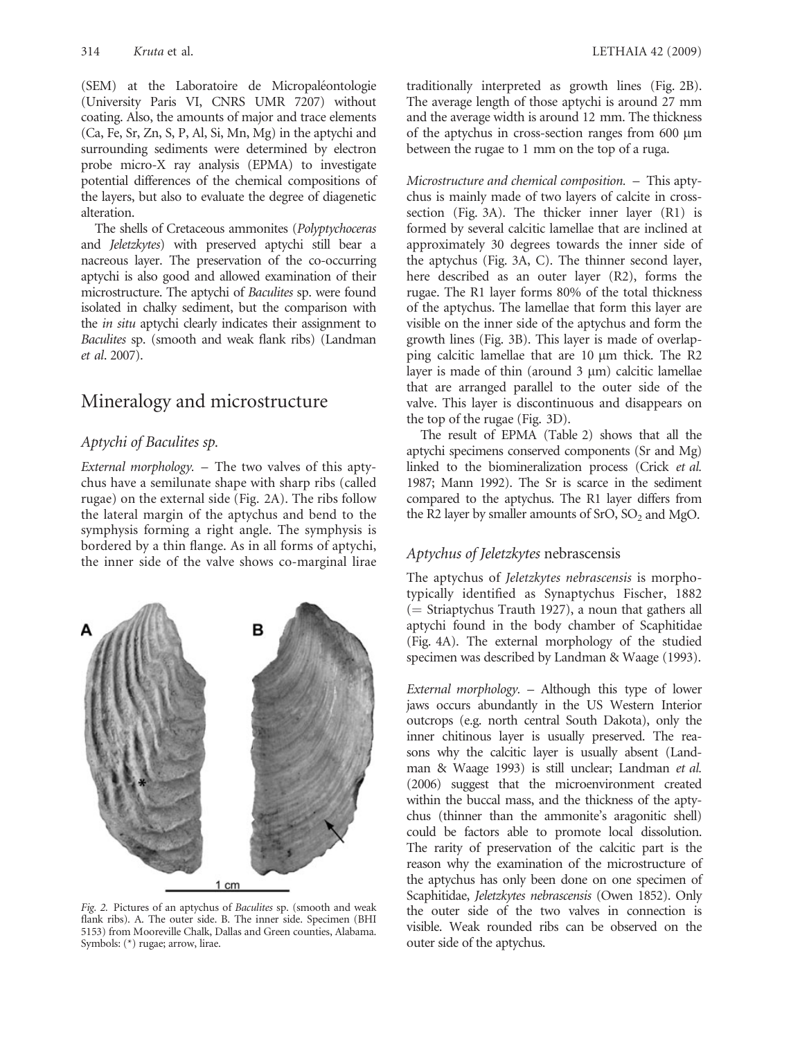(SEM) at the Laboratoire de Micropaléontologie (University Paris VI, CNRS UMR 7207) without coating. Also, the amounts of major and trace elements (Ca, Fe, Sr, Zn, S, P, Al, Si, Mn, Mg) in the aptychi and surrounding sediments were determined by electron probe micro-X ray analysis (EPMA) to investigate potential differences of the chemical compositions of the layers, but also to evaluate the degree of diagenetic alteration.

The shells of Cretaceous ammonites (Polyptychoceras and Jeletzkytes) with preserved aptychi still bear a nacreous layer. The preservation of the co-occurring aptychi is also good and allowed examination of their microstructure. The aptychi of Baculites sp. were found isolated in chalky sediment, but the comparison with the *in situ* aptychi clearly indicates their assignment to Baculites sp. (smooth and weak flank ribs) (Landman et al. 2007).

# Mineralogy and microstructure

### Aptychi of Baculites sp.

External morphology. – The two valves of this aptychus have a semilunate shape with sharp ribs (called rugae) on the external side (Fig. 2A). The ribs follow the lateral margin of the aptychus and bend to the symphysis forming a right angle. The symphysis is bordered by a thin flange. As in all forms of aptychi, the inner side of the valve shows co-marginal lirae



Fig. 2. Pictures of an aptychus of Baculites sp. (smooth and weak flank ribs). A. The outer side. B. The inner side. Specimen (BHI 5153) from Mooreville Chalk, Dallas and Green counties, Alabama. Symbols: (\*) rugae; arrow, lirae.

traditionally interpreted as growth lines (Fig. 2B). The average length of those aptychi is around 27 mm and the average width is around 12 mm. The thickness of the aptychus in cross-section ranges from  $600 \mu m$ between the rugae to 1 mm on the top of a ruga.

Microstructure and chemical composition. – This aptychus is mainly made of two layers of calcite in crosssection (Fig. 3A). The thicker inner layer (R1) is formed by several calcitic lamellae that are inclined at approximately 30 degrees towards the inner side of the aptychus (Fig. 3A, C). The thinner second layer, here described as an outer layer (R2), forms the rugae. The R1 layer forms 80% of the total thickness of the aptychus. The lamellae that form this layer are visible on the inner side of the aptychus and form the growth lines (Fig. 3B). This layer is made of overlapping calcitic lamellae that are  $10 \mu m$  thick. The R2 layer is made of thin (around  $3 \mu m$ ) calcitic lamellae that are arranged parallel to the outer side of the valve. This layer is discontinuous and disappears on the top of the rugae (Fig. 3D).

The result of EPMA (Table 2) shows that all the aptychi specimens conserved components (Sr and Mg) linked to the biomineralization process (Crick et al. 1987; Mann 1992). The Sr is scarce in the sediment compared to the aptychus. The R1 layer differs from the R2 layer by smaller amounts of  $SrO$ ,  $SO<sub>2</sub>$  and MgO.

#### Aptychus of Jeletzkytes nebrascensis

The aptychus of Jeletzkytes nebrascensis is morphotypically identified as Synaptychus Fischer, 1882  $($  = Striaptychus Trauth 1927), a noun that gathers all aptychi found in the body chamber of Scaphitidae (Fig. 4A). The external morphology of the studied specimen was described by Landman & Waage (1993).

External morphology. – Although this type of lower jaws occurs abundantly in the US Western Interior outcrops (e.g. north central South Dakota), only the inner chitinous layer is usually preserved. The reasons why the calcitic layer is usually absent (Landman & Waage 1993) is still unclear; Landman et al. (2006) suggest that the microenvironment created within the buccal mass, and the thickness of the aptychus (thinner than the ammonite's aragonitic shell) could be factors able to promote local dissolution. The rarity of preservation of the calcitic part is the reason why the examination of the microstructure of the aptychus has only been done on one specimen of Scaphitidae, Jeletzkytes nebrascensis (Owen 1852). Only the outer side of the two valves in connection is visible. Weak rounded ribs can be observed on the outer side of the aptychus.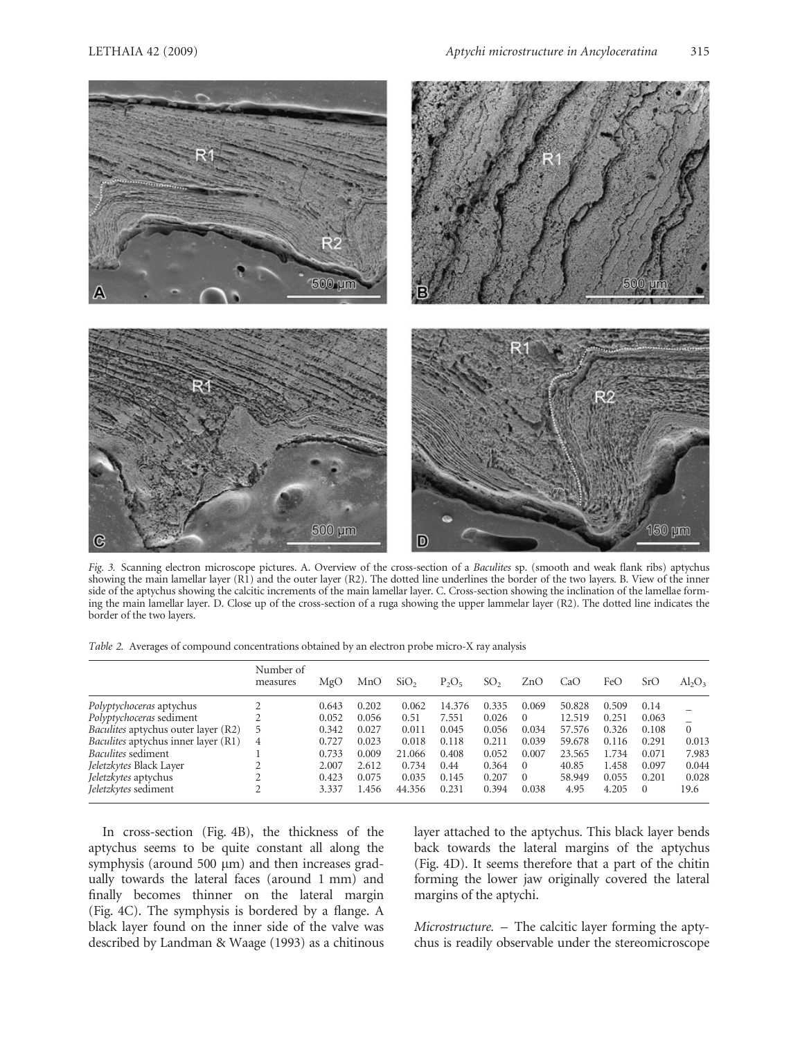

Fig. 3. Scanning electron microscope pictures. A. Overview of the cross-section of a Baculites sp. (smooth and weak flank ribs) aptychus showing the main lamellar layer  $(R1)$  and the outer layer  $(R2)$ . The dotted line underlines the border of the two layers. B. View of the inner side of the aptychus showing the calcitic increments of the main lamellar layer. C. Cross-section showing the inclination of the lamellae forming the main lamellar layer. D. Close up of the cross-section of a ruga showing the upper lammelar layer (R2). The dotted line indicates the border of the two layers.

Table 2. Averages of compound concentrations obtained by an electron probe micro-X ray analysis

|                                            | Number of<br>measures | MgO   | MnO   | SiO <sub>2</sub> | $P_2O_5$ | SO <sub>2</sub> | ZnO      | CaO    | FeO   | SrO   | $Al_2O_3$ |
|--------------------------------------------|-----------------------|-------|-------|------------------|----------|-----------------|----------|--------|-------|-------|-----------|
| Polyptychoceras aptychus                   |                       | 0.643 | 0.202 | 0.062            | 14.376   | 0.335           | 0.069    | 50.828 | 0.509 | 0.14  |           |
| Polyptychoceras sediment                   |                       | 0.052 | 0.056 | 0.51             | 7.551    | 0.026           | $\Omega$ | 12.519 | 0.251 | 0.063 |           |
| <i>Baculites</i> aptychus outer layer (R2) | 5                     | 0.342 | 0.027 | 0.011            | 0.045    | 0.056           | 0.034    | 57.576 | 0.326 | 0.108 | $\Omega$  |
| Baculites aptychus inner layer (R1)        | 4                     | 0.727 | 0.023 | 0.018            | 0.118    | 0.211           | 0.039    | 59.678 | 0.116 | 0.291 | 0.013     |
| <i>Baculites</i> sediment                  |                       | 0.733 | 0.009 | 21.066           | 0.408    | 0.052           | 0.007    | 23.565 | 1.734 | 0.071 | 7.983     |
| Jeletzkytes Black Layer                    |                       | 2.007 | 2.612 | 0.734            | 0.44     | 0.364           | $\Omega$ | 40.85  | 1.458 | 0.097 | 0.044     |
| <i>Jeletzkytes</i> aptychus                |                       | 0.423 | 0.075 | 0.035            | 0.145    | 0.207           | $\Omega$ | 58.949 | 0.055 | 0.201 | 0.028     |
| Jeletzkytes sediment                       |                       | 3.337 | l.456 | 44.356           | 0.231    | 0.394           | 0.038    | 4.95   | 4.205 |       | 19.6      |

In cross-section (Fig. 4B), the thickness of the aptychus seems to be quite constant all along the symphysis (around 500  $\mu$ m) and then increases gradually towards the lateral faces (around 1 mm) and finally becomes thinner on the lateral margin (Fig. 4C). The symphysis is bordered by a flange. A black layer found on the inner side of the valve was described by Landman & Waage (1993) as a chitinous layer attached to the aptychus. This black layer bends back towards the lateral margins of the aptychus (Fig. 4D). It seems therefore that a part of the chitin forming the lower jaw originally covered the lateral margins of the aptychi.

Microstructure. – The calcitic layer forming the aptychus is readily observable under the stereomicroscope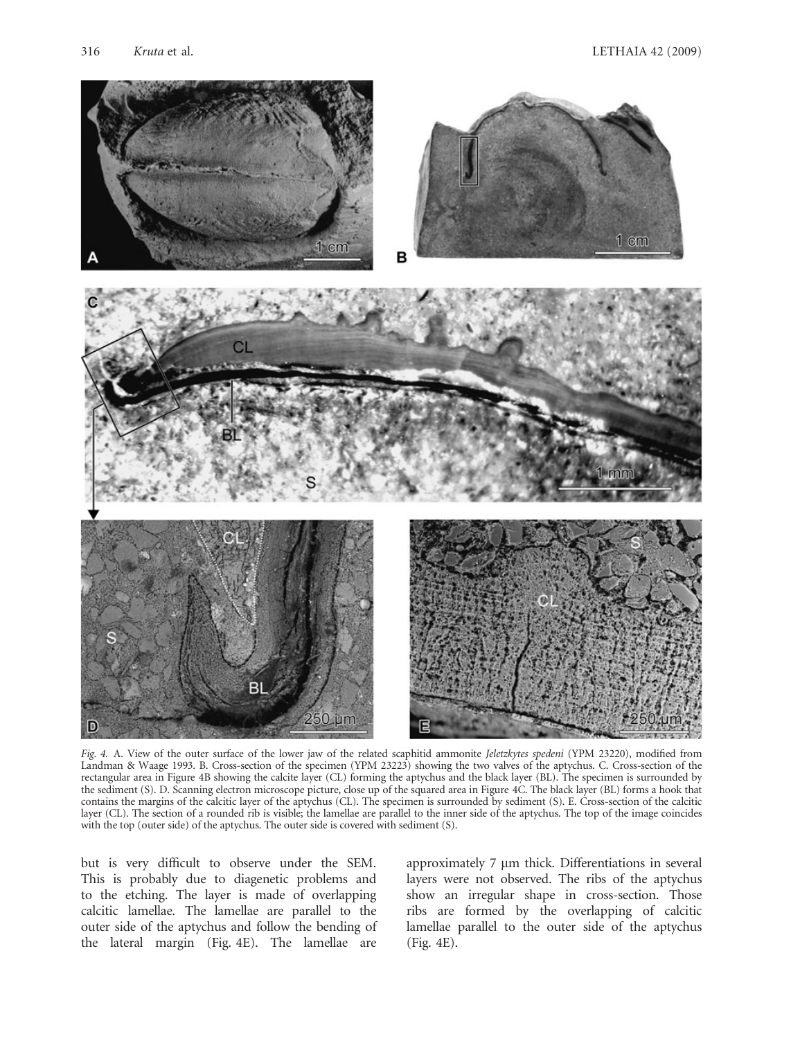

Fig. 4. A. View of the outer surface of the lower jaw of the related scaphitid ammonite Jeletzkytes spedeni (YPM 23220), modified from Landman & Waage 1993. B. Cross-section of the specimen (YPM 23223) showing the two valves of the aptychus. C. Cross-section of the rectangular area in Figure 4B showing the calcite layer (CL) forming the aptychus and the black layer (BL). The specimen is surrounded by the sediment (S). D. Scanning electron microscope picture, close up of the squared area in Figure 4C. The black layer (BL) forms a hook that contains the margins of the calcitic layer of the aptychus (CL). The specimen is surrounded by sediment (S). E. Cross-section of the calcitic layer (CL). The section of a rounded rib is visible; the lamellae are parallel to the inner side of the aptychus. The top of the image coincides with the top (outer side) of the aptychus. The outer side is covered with sediment (S).

but is very difficult to observe under the SEM. This is probably due to diagenetic problems and to the etching. The layer is made of overlapping calcitic lamellae. The lamellae are parallel to the outer side of the aptychus and follow the bending of the lateral margin (Fig. 4E). The lamellae are

approximately 7 µm thick. Differentiations in several layers were not observed. The ribs of the aptychus show an irregular shape in cross-section. Those ribs are formed by the overlapping of calcitic lamellae parallel to the outer side of the aptychus (Fig. 4E).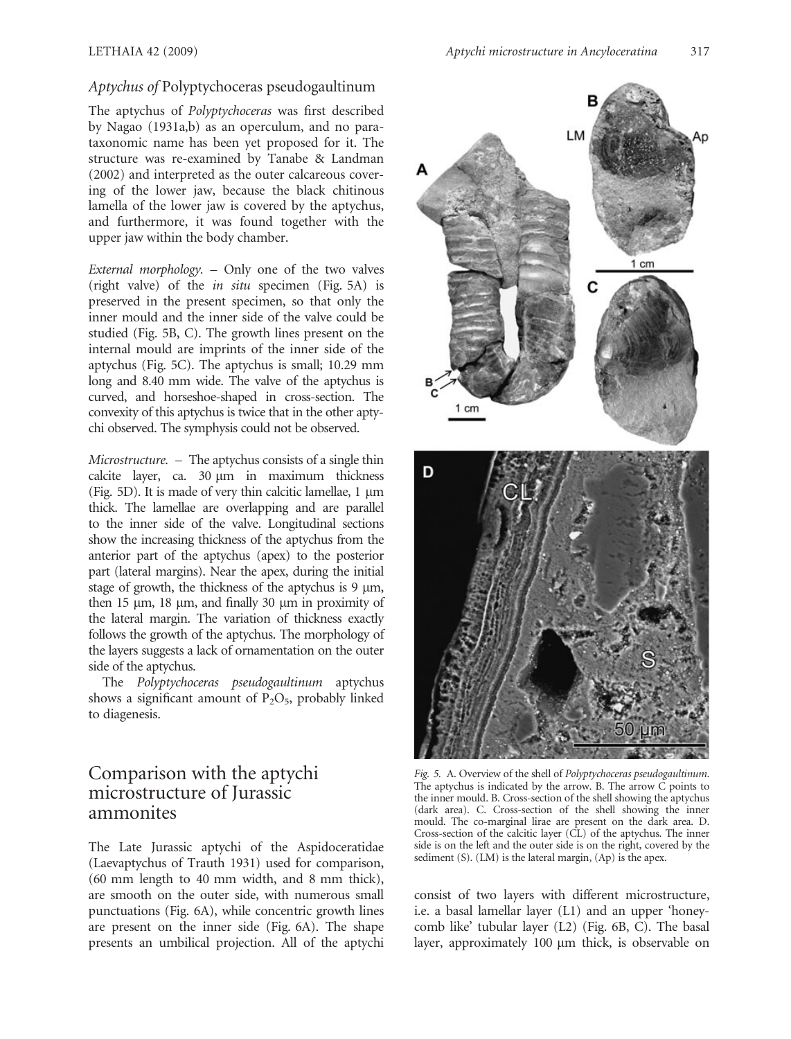#### Aptychus of Polyptychoceras pseudogaultinum

The aptychus of Polyptychoceras was first described by Nagao (1931a,b) as an operculum, and no parataxonomic name has been yet proposed for it. The structure was re-examined by Tanabe & Landman (2002) and interpreted as the outer calcareous covering of the lower jaw, because the black chitinous lamella of the lower jaw is covered by the aptychus, and furthermore, it was found together with the upper jaw within the body chamber.

External morphology. – Only one of the two valves (right valve) of the in situ specimen (Fig. 5A) is preserved in the present specimen, so that only the inner mould and the inner side of the valve could be studied (Fig. 5B, C). The growth lines present on the internal mould are imprints of the inner side of the aptychus (Fig. 5C). The aptychus is small; 10.29 mm long and 8.40 mm wide. The valve of the aptychus is curved, and horseshoe-shaped in cross-section. The convexity of this aptychus is twice that in the other aptychi observed. The symphysis could not be observed.

Microstructure. – The aptychus consists of a single thin calcite layer, ca. 30  $\mu$ m in maximum thickness (Fig. 5D). It is made of very thin calcitic lamellae,  $1 \mu m$ thick. The lamellae are overlapping and are parallel to the inner side of the valve. Longitudinal sections show the increasing thickness of the aptychus from the anterior part of the aptychus (apex) to the posterior part (lateral margins). Near the apex, during the initial stage of growth, the thickness of the aptychus is  $9 \mu m$ , then 15  $\mu$ m, 18  $\mu$ m, and finally 30  $\mu$ m in proximity of the lateral margin. The variation of thickness exactly follows the growth of the aptychus. The morphology of the layers suggests a lack of ornamentation on the outer side of the aptychus.

The Polyptychoceras pseudogaultinum aptychus shows a significant amount of  $P_2O_5$ , probably linked to diagenesis.

## Comparison with the aptychi microstructure of Jurassic ammonites

The Late Jurassic aptychi of the Aspidoceratidae (Laevaptychus of Trauth 1931) used for comparison, (60 mm length to 40 mm width, and 8 mm thick), are smooth on the outer side, with numerous small punctuations (Fig. 6A), while concentric growth lines are present on the inner side (Fig. 6A). The shape presents an umbilical projection. All of the aptychi



Fig. 5. A. Overview of the shell of Polyptychoceras pseudogaultinum. The aptychus is indicated by the arrow. B. The arrow  $\check{C}$  points to the inner mould. B. Cross-section of the shell showing the aptychus (dark area). C. Cross-section of the shell showing the inner mould. The co-marginal lirae are present on the dark area. D. Cross-section of the calcitic layer (CL) of the aptychus. The inner side is on the left and the outer side is on the right, covered by the sediment (S). (LM) is the lateral margin, (Ap) is the apex.

consist of two layers with different microstructure, i.e. a basal lamellar layer (L1) and an upper 'honeycomb like' tubular layer (L2) (Fig. 6B, C). The basal layer, approximately 100 µm thick, is observable on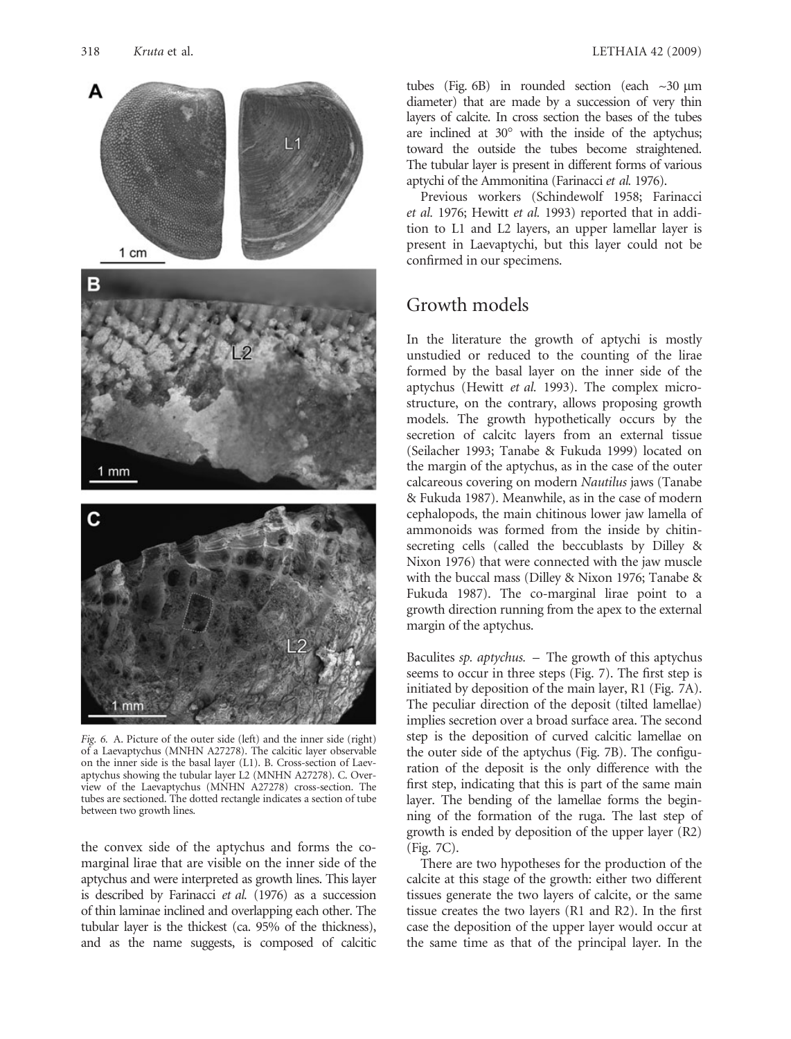

Fig. 6. A. Picture of the outer side (left) and the inner side (right) of a Laevaptychus (MNHN A27278). The calcitic layer observable on the inner side is the basal layer (L1). B. Cross-section of Laevaptychus showing the tubular layer L2 (MNHN A27278). C. Overview of the Laevaptychus (MNHN A27278) cross-section. The tubes are sectioned. The dotted rectangle indicates a section of tube between two growth lines.

the convex side of the aptychus and forms the comarginal lirae that are visible on the inner side of the aptychus and were interpreted as growth lines. This layer is described by Farinacci et al. (1976) as a succession of thin laminae inclined and overlapping each other. The tubular layer is the thickest (ca. 95% of the thickness), and as the name suggests, is composed of calcitic

tubes (Fig. 6B) in rounded section (each  $\sim$ 30  $\mu$ m diameter) that are made by a succession of very thin layers of calcite. In cross section the bases of the tubes are inclined at  $30^{\circ}$  with the inside of the aptychus; toward the outside the tubes become straightened. The tubular layer is present in different forms of various aptychi of the Ammonitina (Farinacci et al. 1976).

Previous workers (Schindewolf 1958; Farinacci et al. 1976; Hewitt et al. 1993) reported that in addition to L1 and L2 layers, an upper lamellar layer is present in Laevaptychi, but this layer could not be confirmed in our specimens.

## Growth models

In the literature the growth of aptychi is mostly unstudied or reduced to the counting of the lirae formed by the basal layer on the inner side of the aptychus (Hewitt et al. 1993). The complex microstructure, on the contrary, allows proposing growth models. The growth hypothetically occurs by the secretion of calcitc layers from an external tissue (Seilacher 1993; Tanabe & Fukuda 1999) located on the margin of the aptychus, as in the case of the outer calcareous covering on modern Nautilus jaws (Tanabe & Fukuda 1987). Meanwhile, as in the case of modern cephalopods, the main chitinous lower jaw lamella of ammonoids was formed from the inside by chitinsecreting cells (called the beccublasts by Dilley & Nixon 1976) that were connected with the jaw muscle with the buccal mass (Dilley & Nixon 1976; Tanabe & Fukuda 1987). The co-marginal lirae point to a growth direction running from the apex to the external margin of the aptychus.

Baculites sp. aptychus. – The growth of this aptychus seems to occur in three steps (Fig. 7). The first step is initiated by deposition of the main layer, R1 (Fig. 7A). The peculiar direction of the deposit (tilted lamellae) implies secretion over a broad surface area. The second step is the deposition of curved calcitic lamellae on the outer side of the aptychus (Fig. 7B). The configuration of the deposit is the only difference with the first step, indicating that this is part of the same main layer. The bending of the lamellae forms the beginning of the formation of the ruga. The last step of growth is ended by deposition of the upper layer (R2) (Fig. 7C).

There are two hypotheses for the production of the calcite at this stage of the growth: either two different tissues generate the two layers of calcite, or the same tissue creates the two layers (R1 and R2). In the first case the deposition of the upper layer would occur at the same time as that of the principal layer. In the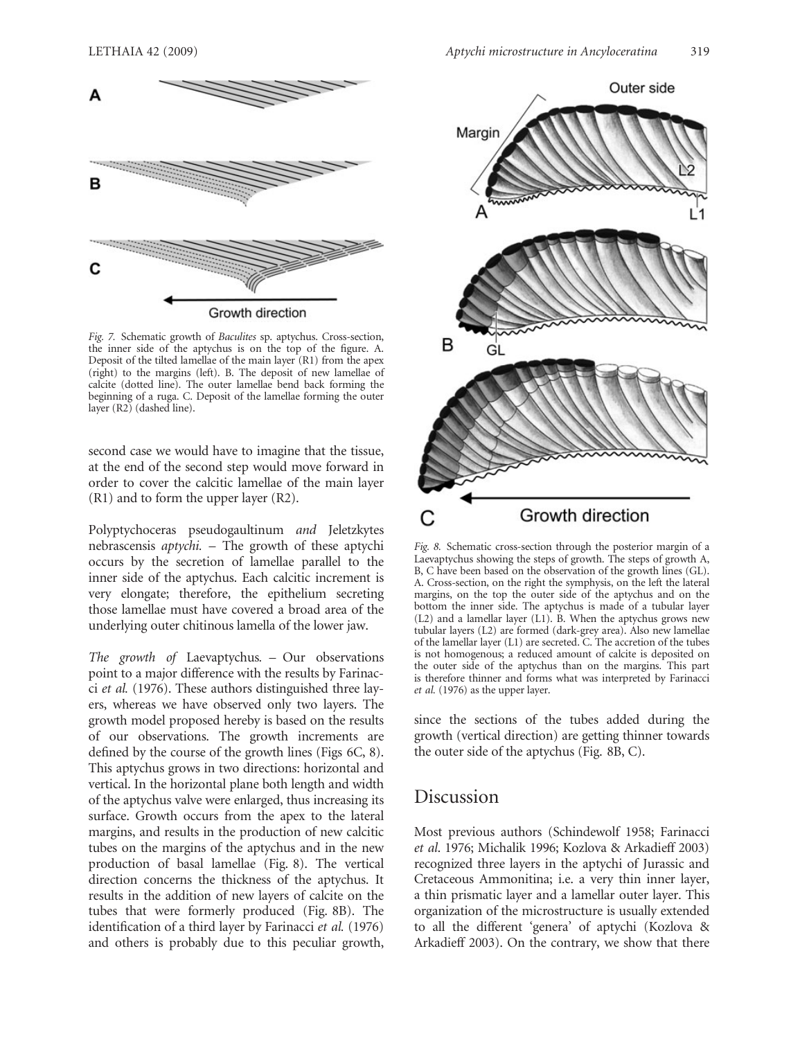

Fig. 7. Schematic growth of Baculites sp. aptychus. Cross-section, the inner side of the aptychus is on the top of the figure. A. Deposit of the tilted lamellae of the main layer (R1) from the apex (right) to the margins (left). B. The deposit of new lamellae of calcite (dotted line). The outer lamellae bend back forming the beginning of a ruga. C. Deposit of the lamellae forming the outer layer (R2) (dashed line).

second case we would have to imagine that the tissue, at the end of the second step would move forward in order to cover the calcitic lamellae of the main layer (R1) and to form the upper layer (R2).

Polyptychoceras pseudogaultinum and Jeletzkytes nebrascensis aptychi. – The growth of these aptychi occurs by the secretion of lamellae parallel to the inner side of the aptychus. Each calcitic increment is very elongate; therefore, the epithelium secreting those lamellae must have covered a broad area of the underlying outer chitinous lamella of the lower jaw.

The growth of Laevaptychus. – Our observations point to a major difference with the results by Farinacci et al. (1976). These authors distinguished three layers, whereas we have observed only two layers. The growth model proposed hereby is based on the results of our observations. The growth increments are defined by the course of the growth lines (Figs 6C, 8). This aptychus grows in two directions: horizontal and vertical. In the horizontal plane both length and width of the aptychus valve were enlarged, thus increasing its surface. Growth occurs from the apex to the lateral margins, and results in the production of new calcitic tubes on the margins of the aptychus and in the new production of basal lamellae (Fig. 8). The vertical direction concerns the thickness of the aptychus. It results in the addition of new layers of calcite on the tubes that were formerly produced (Fig. 8B). The identification of a third layer by Farinacci et al. (1976) and others is probably due to this peculiar growth,



Fig. 8. Schematic cross-section through the posterior margin of a Laevaptychus showing the steps of growth. The steps of growth A, B, C have been based on the observation of the growth lines (GL). A. Cross-section, on the right the symphysis, on the left the lateral margins, on the top the outer side of the aptychus and on the bottom the inner side. The aptychus is made of a tubular layer  $(L2)$  and a lamellar layer  $(L1)$ . B. When the aptychus grows new tubular layers (L2) are formed (dark-grey area). Also new lamellae of the lamellar layer (L1) are secreted. C. The accretion of the tubes is not homogenous; a reduced amount of calcite is deposited on the outer side of the aptychus than on the margins. This part is therefore thinner and forms what was interpreted by Farinacci et al. (1976) as the upper layer.

since the sections of the tubes added during the growth (vertical direction) are getting thinner towards the outer side of the aptychus (Fig. 8B, C).

### Discussion

Most previous authors (Schindewolf 1958; Farinacci et al. 1976; Michalik 1996; Kozlova & Arkadieff 2003) recognized three layers in the aptychi of Jurassic and Cretaceous Ammonitina; i.e. a very thin inner layer, a thin prismatic layer and a lamellar outer layer. This organization of the microstructure is usually extended to all the different 'genera' of aptychi (Kozlova & Arkadieff 2003). On the contrary, we show that there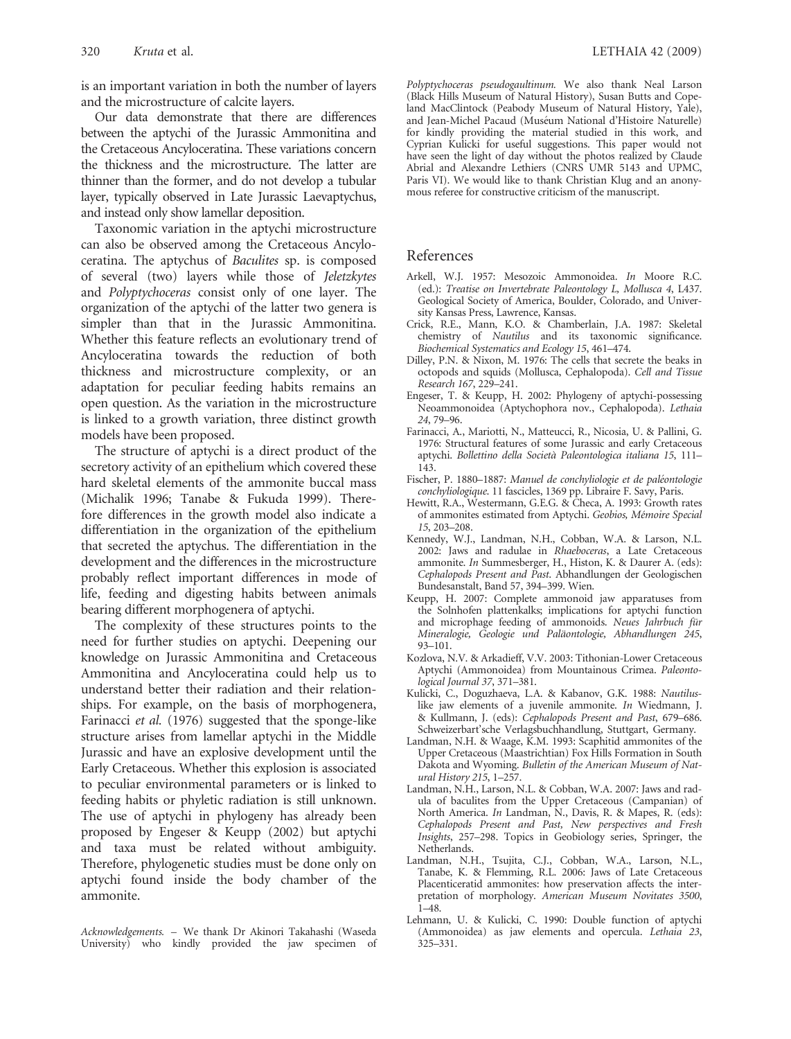is an important variation in both the number of layers and the microstructure of calcite layers.

Our data demonstrate that there are differences between the aptychi of the Jurassic Ammonitina and the Cretaceous Ancyloceratina. These variations concern the thickness and the microstructure. The latter are thinner than the former, and do not develop a tubular layer, typically observed in Late Jurassic Laevaptychus, and instead only show lamellar deposition.

Taxonomic variation in the aptychi microstructure can also be observed among the Cretaceous Ancyloceratina. The aptychus of Baculites sp. is composed of several (two) layers while those of Jeletzkytes and Polyptychoceras consist only of one layer. The organization of the aptychi of the latter two genera is simpler than that in the Jurassic Ammonitina. Whether this feature reflects an evolutionary trend of Ancyloceratina towards the reduction of both thickness and microstructure complexity, or an adaptation for peculiar feeding habits remains an open question. As the variation in the microstructure is linked to a growth variation, three distinct growth models have been proposed.

The structure of aptychi is a direct product of the secretory activity of an epithelium which covered these hard skeletal elements of the ammonite buccal mass (Michalik 1996; Tanabe & Fukuda 1999). Therefore differences in the growth model also indicate a differentiation in the organization of the epithelium that secreted the aptychus. The differentiation in the development and the differences in the microstructure probably reflect important differences in mode of life, feeding and digesting habits between animals bearing different morphogenera of aptychi.

The complexity of these structures points to the need for further studies on aptychi. Deepening our knowledge on Jurassic Ammonitina and Cretaceous Ammonitina and Ancyloceratina could help us to understand better their radiation and their relationships. For example, on the basis of morphogenera, Farinacci et al. (1976) suggested that the sponge-like structure arises from lamellar aptychi in the Middle Jurassic and have an explosive development until the Early Cretaceous. Whether this explosion is associated to peculiar environmental parameters or is linked to feeding habits or phyletic radiation is still unknown. The use of aptychi in phylogeny has already been proposed by Engeser & Keupp (2002) but aptychi and taxa must be related without ambiguity. Therefore, phylogenetic studies must be done only on aptychi found inside the body chamber of the ammonite.

Acknowledgements. – We thank Dr Akinori Takahashi (Waseda University) who kindly provided the jaw specimen of Polyptychoceras pseudogaultinum. We also thank Neal Larson (Black Hills Museum of Natural History), Susan Butts and Copeland MacClintock (Peabody Museum of Natural History, Yale), and Jean-Michel Pacaud (Muséum National d'Histoire Naturelle) for kindly providing the material studied in this work, and Cyprian Kulicki for useful suggestions. This paper would not have seen the light of day without the photos realized by Claude Abrial and Alexandre Lethiers (CNRS UMR 5143 and UPMC, Paris VI). We would like to thank Christian Klug and an anonymous referee for constructive criticism of the manuscript.

#### References

- Arkell, W.J. 1957: Mesozoic Ammonoidea. In Moore R.C. (ed.): Treatise on Invertebrate Paleontology L, Mollusca 4, L437. Geological Society of America, Boulder, Colorado, and University Kansas Press, Lawrence, Kansas.
- Crick, R.E., Mann, K.O. & Chamberlain, J.A. 1987: Skeletal chemistry of Nautilus and its taxonomic significance. Biochemical Systematics and Ecology 15, 461–474.
- Dilley, P.N. & Nixon, M. 1976: The cells that secrete the beaks in octopods and squids (Mollusca, Cephalopoda). Cell and Tissue Research 167, 229–241.
- Engeser, T. & Keupp, H. 2002: Phylogeny of aptychi-possessing Neoammonoidea (Aptychophora nov., Cephalopoda). Lethaia 24, 79–96.
- Farinacci, A., Mariotti, N., Matteucci, R., Nicosia, U. & Pallini, G. 1976: Structural features of some Jurassic and early Cretaceous aptychi. Bollettino della Società Paleontologica italiana 15, 111-143.
- Fischer, P. 1880-1887: Manuel de conchyliologie et de paléontologie conchyliologique. 11 fascicles, 1369 pp. Libraire F. Savy, Paris.
- Hewitt, R.A., Westermann, G.E.G. & Checa, A. 1993: Growth rates of ammonites estimated from Aptychi. Geobios, Mémoire Special 15, 203–208.
- Kennedy, W.J., Landman, N.H., Cobban, W.A. & Larson, N.L. 2002: Jaws and radulae in Rhaeboceras, a Late Cretaceous ammonite. In Summesberger, H., Histon, K. & Daurer A. (eds): Cephalopods Present and Past. Abhandlungen der Geologischen Bundesanstalt, Band 57, 394–399. Wien.
- Keupp, H. 2007: Complete ammonoid jaw apparatuses from the Solnhofen plattenkalks; implications for aptychi function and microphage feeding of ammonoids. Neues Jahrbuch für Mineralogie, Geologie und Paläontologie, Abhandlungen 245, 93–101.
- Kozlova, N.V. & Arkadieff, V.V. 2003: Tithonian-Lower Cretaceous Aptychi (Ammonoidea) from Mountainous Crimea. Paleontological Journal 37, 371–381.
- Kulicki, C., Doguzhaeva, L.A. & Kabanov, G.K. 1988: Nautiluslike jaw elements of a juvenile ammonite. In Wiedmann, J. & Kullmann, J. (eds): Cephalopods Present and Past, 679–686. Schweizerbart'sche Verlagsbuchhandlung, Stuttgart, Germany.
- Landman, N.H. & Waage, K.M. 1993: Scaphitid ammonites of the Upper Cretaceous (Maastrichtian) Fox Hills Formation in South Dakota and Wyoming. Bulletin of the American Museum of Natural History 215, 1–257.
- Landman, N.H., Larson, N.L. & Cobban, W.A. 2007: Jaws and radula of baculites from the Upper Cretaceous (Campanian) of North America. In Landman, N., Davis, R. & Mapes, R. (eds): Cephalopods Present and Past, New perspectives and Fresh Insights, 257–298. Topics in Geobiology series, Springer, the Netherlands.
- Landman, N.H., Tsujita, C.J., Cobban, W.A., Larson, N.L., Tanabe, K. & Flemming, R.L. 2006: Jaws of Late Cretaceous Placenticeratid ammonites: how preservation affects the interpretation of morphology. American Museum Novitates 3500, 1–48.
- Lehmann, U. & Kulicki, C. 1990: Double function of aptychi (Ammonoidea) as jaw elements and opercula. Lethaia 23, 325–331.